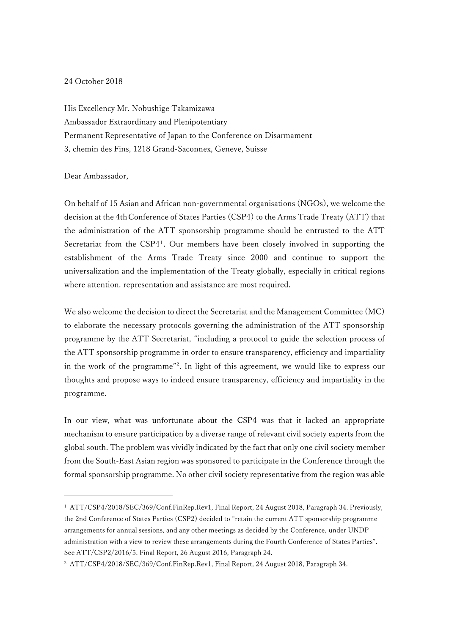## 24 October 2018

His Excellency Mr. Nobushige Takamizawa Ambassador Extraordinary and Plenipotentiary Permanent Representative of Japan to the Conference on Disarmament 3, chemin des Fins, 1218 Grand-Saconnex, Geneve, Suisse

## Dear Ambassador,

-

On behalf of 15 Asian and African non-governmental organisations (NGOs), we welcome the decision at the 4thConference of States Parties (CSP4) to the Arms Trade Treaty (ATT) that the administration of the ATT sponsorship programme should be entrusted to the ATT Secretariat from the CSP4<sup>1</sup>. Our members have been closely involved in supporting the establishment of the Arms Trade Treaty since 2000 and continue to support the universalization and the implementation of the Treaty globally, especially in critical regions where attention, representation and assistance are most required.

We also welcome the decision to direct the Secretariat and the Management Committee (MC) to elaborate the necessary protocols governing the administration of the ATT sponsorship programme by the ATT Secretariat, "including a protocol to guide the selection process of the ATT sponsorship programme in order to ensure transparency, efficiency and impartiality in the work of the programme" 2 . In light of this agreement, we would like to express our thoughts and propose ways to indeed ensure transparency, efficiency and impartiality in the programme.

In our view, what was unfortunate about the CSP4 was that it lacked an appropriate mechanism to ensure participation by a diverse range of relevant civil society experts from the global south. The problem was vividly indicated by the fact that only one civil society member from the South-East Asian region was sponsored to participate in the Conference through the formal sponsorship programme. No other civil society representative from the region was able

<sup>1</sup> ATT/CSP4/2018/SEC/369/Conf.FinRep.Rev1, Final Report, 24 August 2018, Paragraph 34. Previously, the 2nd Conference of States Parties (CSP2) decided to "retain the current ATT sponsorship programme arrangements for annual sessions, and any other meetings as decided by the Conference, under UNDP administration with a view to review these arrangements during the Fourth Conference of States Parties". See ATT/CSP2/2016/5. Final Report, 26 August 2016, Paragraph 24.

<sup>2</sup> ATT/CSP4/2018/SEC/369/Conf.FinRep.Rev1, Final Report, 24 August 2018, Paragraph 34.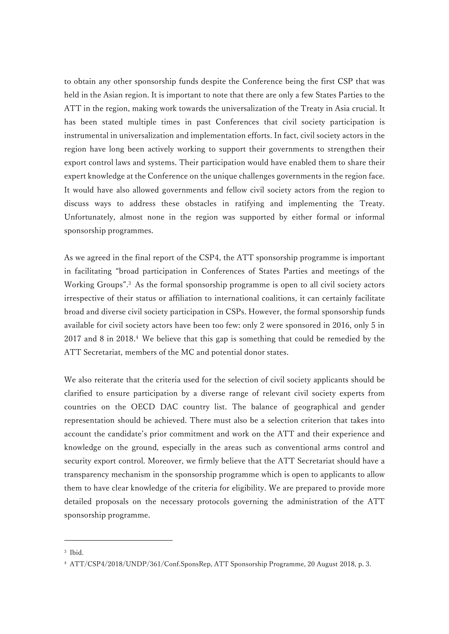to obtain any other sponsorship funds despite the Conference being the first CSP that was held in the Asian region. It is important to note that there are only a few States Parties to the ATT in the region, making work towards the universalization of the Treaty in Asia crucial. It has been stated multiple times in past Conferences that civil society participation is instrumental in universalization and implementation efforts. In fact, civil society actors in the region have long been actively working to support their governments to strengthen their export control laws and systems. Their participation would have enabled them to share their expert knowledge at the Conference on the unique challenges governments in the region face. It would have also allowed governments and fellow civil society actors from the region to discuss ways to address these obstacles in ratifying and implementing the Treaty. Unfortunately, almost none in the region was supported by either formal or informal sponsorship programmes.

As we agreed in the final report of the CSP4, the ATT sponsorship programme is important in facilitating "broad participation in Conferences of States Parties and meetings of the Working Groups".<sup>3</sup> As the formal sponsorship programme is open to all civil society actors irrespective of their status or affiliation to international coalitions, it can certainly facilitate broad and diverse civil society participation in CSPs. However, the formal sponsorship funds available for civil society actors have been too few: only 2 were sponsored in 2016, only 5 in 2017 and 8 in 2018. <sup>4</sup> We believe that this gap is something that could be remedied by the ATT Secretariat, members of the MC and potential donor states.

We also reiterate that the criteria used for the selection of civil society applicants should be clarified to ensure participation by a diverse range of relevant civil society experts from countries on the OECD DAC country list. The balance of geographical and gender representation should be achieved. There must also be a selection criterion that takes into account the candidate's prior commitment and work on the ATT and their experience and knowledge on the ground, especially in the areas such as conventional arms control and security export control. Moreover, we firmly believe that the ATT Secretariat should have a transparency mechanism in the sponsorship programme which is open to applicants to allow them to have clear knowledge of the criteria for eligibility. We are prepared to provide more detailed proposals on the necessary protocols governing the administration of the ATT sponsorship programme.

-

<sup>3</sup> Ibid.

<sup>4</sup> ATT/CSP4/2018/UNDP/361/Conf.SponsRep, ATT Sponsorship Programme, 20 August 2018, p. 3.